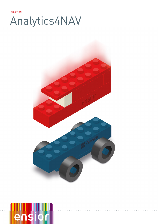# **SOLUTION** Analytics4NAV